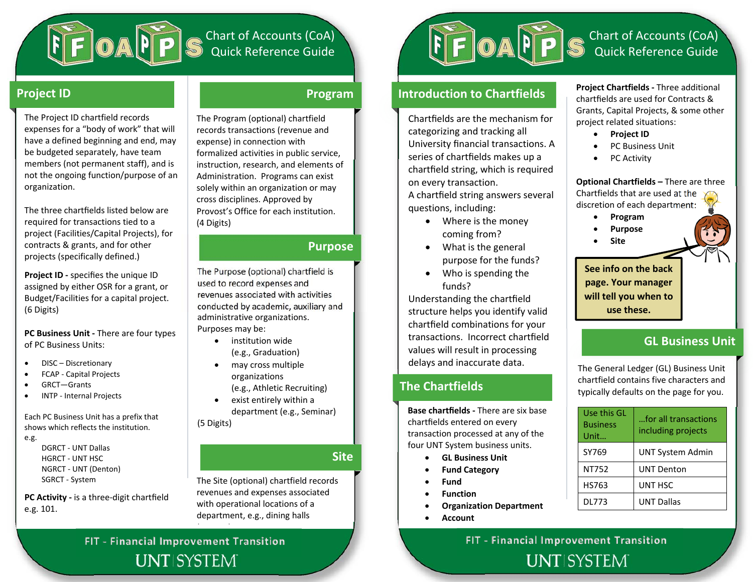

# Chart of Accounts (CoA) Quick Reference Guide

## **Project ID Program**

The Project ID chartfield records expenses for <sup>a</sup> "body of work" that will have <sup>a</sup> defined beginning and end, may be budgeted separately, have team members (not permanent staff), and is not the ongoing function/purpose of an organization.

The three chartfields listed below are required for transactions tied to <sup>a</sup> project (Facilities/Capital Projects), for contracts & grants, and for other projects (specifically defined.)

**Project ID** - specifies the unique ID assigned by either OSR for <sup>a</sup> grant, or Budget/Facilities for <sup>a</sup> capital project. (6 Digits)

**PC Business Unit ‐** There are four types of PC Business Units:

- . DISC– Discretionary
- . FCAP ‐ Capital Projects
- . GRCT—Grants
- $\bullet$ INTP ‐ Internal Projects

Each PC Business Unit has <sup>a</sup> prefix that shows which reflects the institution.

e.g.

DGRCT ‐ UNT Dallas HGRCT ‐ UNT HSCNGRCT ‐ UNT (Denton) SGRCT ‐ System

**PC Activity ‐** is <sup>a</sup> three‐digit chartfield e.g. 101.

The Program (optional) chartfield records transactions (revenue and expense) in connection with formalized activities in public service, instruction, research, and elements of Administration. Programs can exist solely within an organization or may cross disciplines. Approved by Provost's Office for each institution. (4 Digits)

## **Purpose**

The Purpose (optional) chartfield is used to record expenses and revenues associated with activities conducted by academic, auxiliary and administrative organizations. Purposes may be:

- institution wide (e.g., Graduation)
- . may cross multiple organizations
	- (e.g., Athletic Recruiting)
- $\bullet$  exist entirely within <sup>a</sup> department (e.g., Seminar) (5 Digits)

**Site**

The Site (optional) chartfield records revenues and expenses associated with operational locations of <sup>a</sup> department, e.g., dining halls

**FIT ‐ FinancialUNTISYSTEM** 

<u>( ) — у с</u>



# **Introduction to Chartfields**

Chart fields are the mechanism for categorizing and tracking all University financial transactions. A series of chart fields makes up <sup>a</sup> chart field string, which is required on every transaction.

A chart field string answers several questions, including:

- Where is the money coming from?
- What is the general purpose for the funds?
- . Who is spending the funds?

Understanding the chart field structure helps you identify valid chart field combinations for your transactions. Incorrect chart fieldvalues will result in processing dela ys and inaccurate data.

# **The Chartfields**

**Base chart fields ‐** There are six base chartfields entered on every transaction processed at any of the four UNT System business units.

- e **GL Business Unit**
- e **Fund Category**
- e **Fund**
- e **Function**
- c **Organization Department**
- e **Account**

**Project Chartfields ‐** Three additional chartfields are used for Contracts &Grants, Capital Projects, & some other project related situations:

- $\bullet$ **Project ID**
- . PC Business Unit
- $\bullet$ • PC Activity

**Optional Chartfields –** There are three Chartfields that are used at the discretion of each department:

- $\bullet$ **Program**
- . **Purpose**
- . **Site**

**See info on the back page. Your manager will tell you when to use these.**

# **GL Business Unit**

The General Ledger (GL) Business Unit chartfield contains five characters and typically defaults on the page for you.

| Use this GL<br><b>Business</b><br>Unit | for all transactions<br>including projects |
|----------------------------------------|--------------------------------------------|
| SY769                                  | <b>UNT System Admin</b>                    |
| NT752                                  | <b>UNT Denton</b>                          |
| HS763                                  | UNT HSC                                    |
| DL773                                  | <b>UNT Dallas</b>                          |

# **Improvement Transition FIT ‐ Financial Improvement Transition**

**UNTISYSTEM**